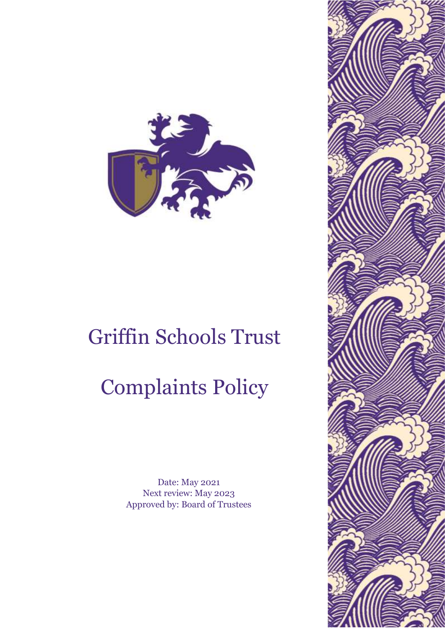

## Griffin Schools Trust

## Complaints Policy

Date: May 2021 Next review: May 2023 Approved by: Board of Trustees

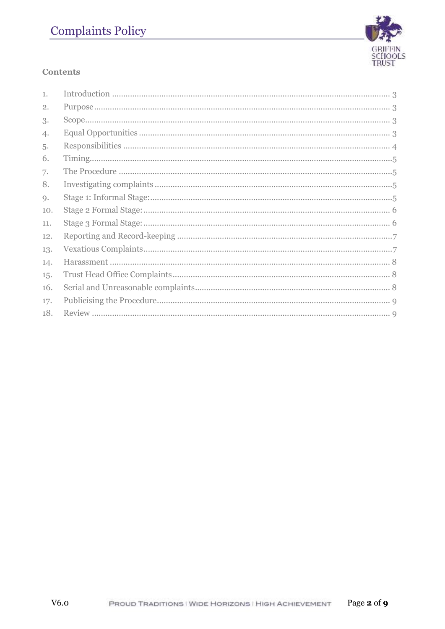## **Complaints Policy**



## **Contents**

| 1.  |  |
|-----|--|
| 2.  |  |
| 3.  |  |
| 4.  |  |
| 5.  |  |
| 6.  |  |
| 7.  |  |
| 8.  |  |
| 9.  |  |
| 10. |  |
| 11. |  |
| 12. |  |
| 13. |  |
| 14. |  |
| 15. |  |
| 16. |  |
| 17. |  |
| 18. |  |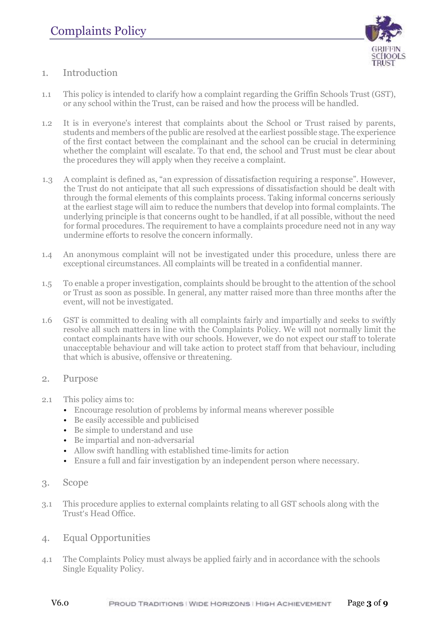

- <span id="page-2-0"></span>1. Introduction
- 1.1 This policy is intended to clarify how a complaint regarding the Griffin Schools Trust (GST), or any school within the Trust, can be raised and how the process will be handled.
- 1.2 It is in everyone's interest that complaints about the School or Trust raised by parents, students and members of the public are resolved at the earliest possible stage. The experience of the first contact between the complainant and the school can be crucial in determining whether the complaint will escalate. To that end, the school and Trust must be clear about the procedures they will apply when they receive a complaint.
- 1.3 A complaint is defined as, "an expression of dissatisfaction requiring a response". However, the Trust do not anticipate that all such expressions of dissatisfaction should be dealt with through the formal elements of this complaints process. Taking informal concerns seriously at the earliest stage will aim to reduce the numbers that develop into formal complaints. The underlying principle is that concerns ought to be handled, if at all possible, without the need for formal procedures. The requirement to have a complaints procedure need not in any way undermine efforts to resolve the concern informally.
- 1.4 An anonymous complaint will not be investigated under this procedure, unless there are exceptional circumstances. All complaints will be treated in a confidential manner.
- 1.5 To enable a proper investigation, complaints should be brought to the attention of the school or Trust as soon as possible. In general, any matter raised more than three months after the event, will not be investigated.
- 1.6 GST is committed to dealing with all complaints fairly and impartially and seeks to swiftly resolve all such matters in line with the Complaints Policy. We will not normally limit the contact complainants have with our schools. However, we do not expect our staff to tolerate unacceptable behaviour and will take action to protect staff from that behaviour, including that which is abusive, offensive or threatening.
- <span id="page-2-1"></span>2. Purpose
- 2.1 This policy aims to:
	- Encourage resolution of problems by informal means wherever possible
	- Be easily accessible and publicised
	- Be simple to understand and use
	- Be impartial and non-adversarial
	- Allow swift handling with established time-limits for action
	- Ensure a full and fair investigation by an independent person where necessary.
- <span id="page-2-2"></span>3. Scope
- 3.1 This procedure applies to external complaints relating to all GST schools along with the Trust's Head Office.
- <span id="page-2-3"></span>4. Equal Opportunities
- 4.1 The Complaints Policy must always be applied fairly and in accordance with the schools Single Equality Policy.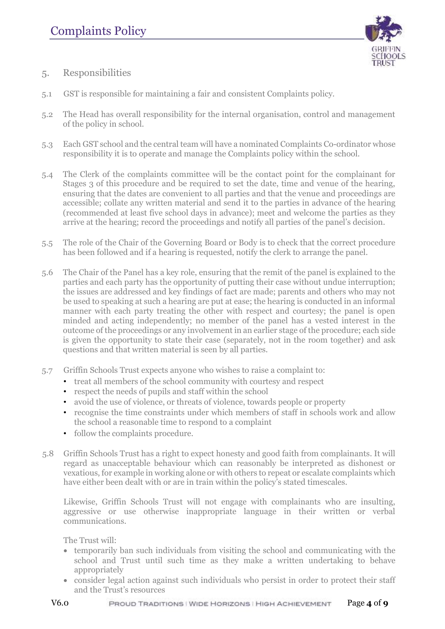

- <span id="page-3-0"></span>5. Responsibilities
- 5.1 GST is responsible for maintaining a fair and consistent Complaints policy.
- 5.2 The Head has overall responsibility for the internal organisation, control and management of the policy in school.
- 5.3 Each GST school and the central team will have a nominated Complaints Co-ordinator whose responsibility it is to operate and manage the Complaints policy within the school.
- 5.4 The Clerk of the complaints committee will be the contact point for the complainant for Stages 3 of this procedure and be required to set the date, time and venue of the hearing, ensuring that the dates are convenient to all parties and that the venue and proceedings are accessible; collate any written material and send it to the parties in advance of the hearing (recommended at least five school days in advance); meet and welcome the parties as they arrive at the hearing; record the proceedings and notify all parties of the panel's decision.
- 5.5 The role of the Chair of the Governing Board or Body is to check that the correct procedure has been followed and if a hearing is requested, notify the clerk to arrange the panel.
- 5.6 The Chair of the Panel has a key role, ensuring that the remit of the panel is explained to the parties and each party has the opportunity of putting their case without undue interruption; the issues are addressed and key findings of fact are made; parents and others who may not be used to speaking at such a hearing are put at ease; the hearing is conducted in an informal manner with each party treating the other with respect and courtesy; the panel is open minded and acting independently; no member of the panel has a vested interest in the outcome of the proceedings or any involvement in an earlier stage of the procedure; each side is given the opportunity to state their case (separately, not in the room together) and ask questions and that written material is seen by all parties.
- 5.7 Griffin Schools Trust expects anyone who wishes to raise a complaint to:
	- treat all members of the school community with courtesy and respect
	- respect the needs of pupils and staff within the school
	- avoid the use of violence, or threats of violence, towards people or property
	- recognise the time constraints under which members of staff in schools work and allow the school a reasonable time to respond to a complaint
	- follow the complaints procedure.
- 5.8 Griffin Schools Trust has a right to expect honesty and good faith from complainants. It will regard as unacceptable behaviour which can reasonably be interpreted as dishonest or vexatious, for example in working alone or with others to repeat or escalate complaints which have either been dealt with or are in train within the policy's stated timescales.

Likewise, Griffin Schools Trust will not engage with complainants who are insulting, aggressive or use otherwise inappropriate language in their written or verbal communications.

The Trust will:

- temporarily ban such individuals from visiting the school and communicating with the school and Trust until such time as they make a written undertaking to behave appropriately
- consider legal action against such individuals who persist in order to protect their staff and the Trust's resources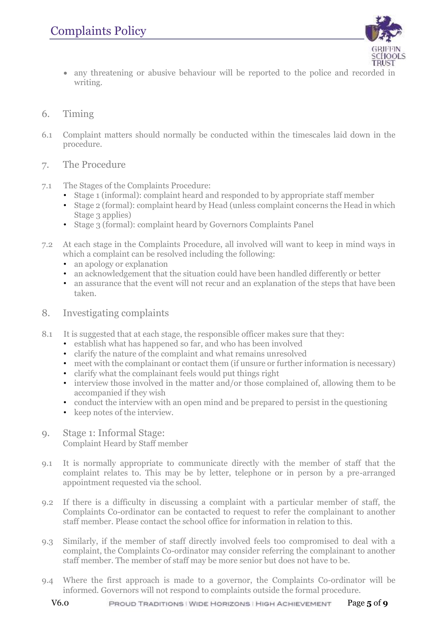

- any threatening or abusive behaviour will be reported to the police and recorded in writing.
- <span id="page-4-0"></span>6. Timing
- 6.1 Complaint matters should normally be conducted within the timescales laid down in the procedure.
- <span id="page-4-1"></span>7. The Procedure
- 7.1 The Stages of the Complaints Procedure:
	- Stage 1 (informal): complaint heard and responded to by appropriate staff member
	- Stage 2 (formal): complaint heard by Head (unless complaint concerns the Head in which Stage 3 applies)
	- Stage 3 (formal): complaint heard by Governors Complaints Panel
- 7.2 At each stage in the Complaints Procedure, all involved will want to keep in mind ways in which a complaint can be resolved including the following:
	- an apology or explanation
	- an acknowledgement that the situation could have been handled differently or better
	- an assurance that the event will not recur and an explanation of the steps that have been taken.
- <span id="page-4-2"></span>8. Investigating complaints
- 8.1 It is suggested that at each stage, the responsible officer makes sure that they:
	- establish what has happened so far, and who has been involved
	- clarify the nature of the complaint and what remains unresolved
	- meet with the complainant or contact them (if unsure or further information is necessary)
	- clarify what the complainant feels would put things right
	- interview those involved in the matter and/or those complained of, allowing them to be accompanied if they wish
	- conduct the interview with an open mind and be prepared to persist in the questioning
	- keep notes of the interview.
- <span id="page-4-3"></span>9. Stage 1: Informal Stage: Complaint Heard by Staff member
- 9.1 It is normally appropriate to communicate directly with the member of staff that the complaint relates to. This may be by letter, telephone or in person by a pre-arranged appointment requested via the school.
- 9.2 If there is a difficulty in discussing a complaint with a particular member of staff, the Complaints Co-ordinator can be contacted to request to refer the complainant to another staff member. Please contact the school office for information in relation to this.
- 9.3 Similarly, if the member of staff directly involved feels too compromised to deal with a complaint, the Complaints Co-ordinator may consider referring the complainant to another staff member. The member of staff may be more senior but does not have to be.
- 9.4 Where the first approach is made to a governor, the Complaints Co-ordinator will be informed. Governors will not respond to complaints outside the formal procedure.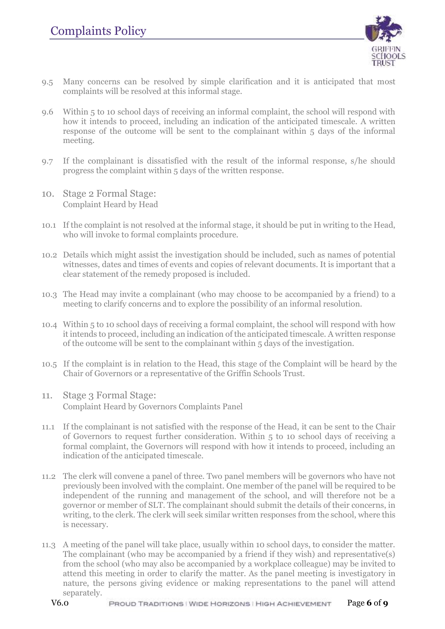

- 9.5 Many concerns can be resolved by simple clarification and it is anticipated that most complaints will be resolved at this informal stage.
- 9.6 Within 5 to 10 school days of receiving an informal complaint, the school will respond with how it intends to proceed, including an indication of the anticipated timescale. A written response of the outcome will be sent to the complainant within 5 days of the informal meeting.
- 9.7 If the complainant is dissatisfied with the result of the informal response, s/he should progress the complaint within 5 days of the written response.
- <span id="page-5-0"></span>10. Stage 2 Formal Stage: Complaint Heard by Head
- 10.1 If the complaint is not resolved at the informal stage, it should be put in writing to the Head, who will invoke to formal complaints procedure.
- 10.2 Details which might assist the investigation should be included, such as names of potential witnesses, dates and times of events and copies of relevant documents. It is important that a clear statement of the remedy proposed is included.
- 10.3 The Head may invite a complainant (who may choose to be accompanied by a friend) to a meeting to clarify concerns and to explore the possibility of an informal resolution.
- 10.4 Within 5 to 10 school days of receiving a formal complaint, the school will respond with how it intends to proceed, including an indication of the anticipated timescale. A written response of the outcome will be sent to the complainant within 5 days of the investigation.
- 10.5 If the complaint is in relation to the Head, this stage of the Complaint will be heard by the Chair of Governors or a representative of the Griffin Schools Trust.
- <span id="page-5-1"></span>11. Stage 3 Formal Stage: Complaint Heard by Governors Complaints Panel
- 11.1 If the complainant is not satisfied with the response of the Head, it can be sent to the Chair of Governors to request further consideration. Within 5 to 10 school days of receiving a formal complaint, the Governors will respond with how it intends to proceed, including an indication of the anticipated timescale.
- 11.2 The clerk will convene a panel of three. Two panel members will be governors who have not previously been involved with the complaint. One member of the panel will be required to be independent of the running and management of the school, and will therefore not be a governor or member of SLT. The complainant should submit the details of their concerns, in writing, to the clerk. The clerk will seek similar written responses from the school, where this is necessary.
- 11.3 A meeting of the panel will take place, usually within 10 school days, to consider the matter. The complainant (who may be accompanied by a friend if they wish) and representative(s) from the school (who may also be accompanied by a workplace colleague) may be invited to attend this meeting in order to clarify the matter. As the panel meeting is investigatory in nature, the persons giving evidence or making representations to the panel will attend separately.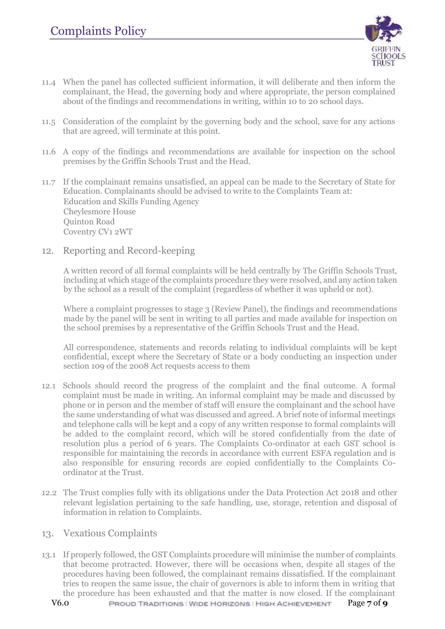

- 11.4 When the panel has collected sufficient information, it will deliberate and then inform the complainant, the Head, the governing body and where appropriate, the person complained about of the findings and recommendations in writing, within 10 to 20 school days.
- 11.5 Consideration of the complaint by the governing body and the school, save for any actions that are agreed, will terminate at this point.
- 11.6 A copy of the findings and recommendations are available for inspection on the school premises by the Griffin Schools Trust and the Head.
- 11.7 If the complainant remains unsatisfied, an appeal can be made to the Secretary of State for Education. Complainants should be advised to write to the Complaints Team at: Education and Skills Funding Agency Cheylesmore House Quinton Road Coventry CV1 2WT
- <span id="page-6-0"></span>12. Reporting and Record-keeping

A written record of all formal complaints will be held centrally by The Griffin Schools Trust, including at which stage of the complaints procedure they were resolved, and any action taken by the school as a result of the complaint (regardless of whether it was upheld or not).

Where a complaint progresses to stage 3 (Review Panel), the findings and recommendations made by the panel will be sent in writing to all parties and made available for inspection on the school premises by a representative of the Griffin Schools Trust and the Head.

All correspondence, statements and records relating to individual complaints will be kept confidential, except where the Secretary of State or a body conducting an inspection under section 109 of the 2008 Act requests access to them

- 12.1 Schools should record the progress of the complaint and the final outcome. A formal complaint must be made in writing. An informal complaint may be made and discussed by phone or in person and the member of staff will ensure the complainant and the school have the same understanding of what was discussed and agreed. A brief note of informal meetings and telephone calls will be kept and a copy of any written response to formal complaints will be added to the complaint record, which will be stored confidentially from the date of resolution plus a period of 6 years. The Complaints Co-ordinator at each GST school is responsible for maintaining the records in accordance with current ESFA regulation and is also responsible for ensuring records are copied confidentially to the Complaints Coordinator at the Trust.
- 12.2 The Trust complies fully with its obligations under the Data Protection Act 2018 and other relevant legislation pertaining to the safe handling, use, storage, retention and disposal of information in relation to Complaints.
- <span id="page-6-1"></span>13. Vexatious Complaints
- 13.1 If properly followed, the GST Complaints procedure will minimise the number of complaints that become protracted. However, there will be occasions when, despite all stages of the procedures having been followed, the complainant remains dissatisfied. If the complainant tries to reopen the same issue, the chair of governors is able to inform them in writing that the procedure has been exhausted and that the matter is now closed. If the complainant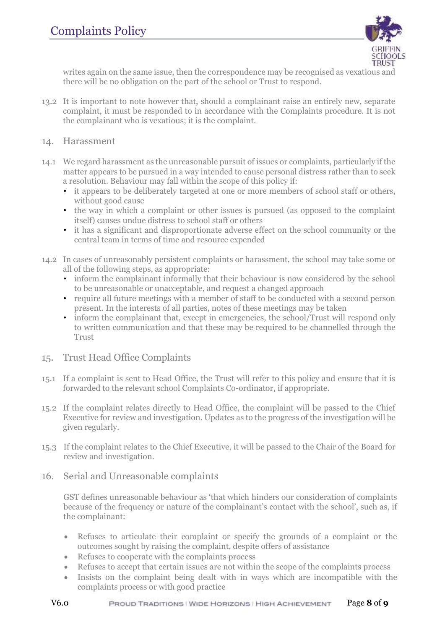

writes again on the same issue, then the correspondence may be recognised as vexatious and there will be no obligation on the part of the school or Trust to respond.

- 13.2 It is important to note however that, should a complainant raise an entirely new, separate complaint, it must be responded to in accordance with the Complaints procedure. It is not the complainant who is vexatious; it is the complaint.
- <span id="page-7-0"></span>14. Harassment
- 14.1 We regard harassment as the unreasonable pursuit of issues or complaints, particularly if the matter appears to be pursued in a way intended to cause personal distress rather than to seek a resolution. Behaviour may fall within the scope of this policy if:
	- it appears to be deliberately targeted at one or more members of school staff or others, without good cause
	- the way in which a complaint or other issues is pursued (as opposed to the complaint itself) causes undue distress to school staff or others
	- it has a significant and disproportionate adverse effect on the school community or the central team in terms of time and resource expended
- 14.2 In cases of unreasonably persistent complaints or harassment, the school may take some or all of the following steps, as appropriate:
	- inform the complainant informally that their behaviour is now considered by the school to be unreasonable or unacceptable, and request a changed approach
	- require all future meetings with a member of staff to be conducted with a second person present. In the interests of all parties, notes of these meetings may be taken
	- inform the complainant that, except in emergencies, the school/Trust will respond only to written communication and that these may be required to be channelled through the Trust
- <span id="page-7-1"></span>15. Trust Head Office Complaints
- 15.1 If a complaint is sent to Head Office, the Trust will refer to this policy and ensure that it is forwarded to the relevant school Complaints Co-ordinator, if appropriate.
- 15.2 If the complaint relates directly to Head Office, the complaint will be passed to the Chief Executive for review and investigation. Updates as to the progress of the investigation will be given regularly.
- 15.3 If the complaint relates to the Chief Executive, it will be passed to the Chair of the Board for review and investigation.
- <span id="page-7-2"></span>16. Serial and Unreasonable complaints

GST defines unreasonable behaviour as 'that which hinders our consideration of complaints because of the frequency or nature of the complainant's contact with the school', such as, if the complainant:

- Refuses to articulate their complaint or specify the grounds of a complaint or the outcomes sought by raising the complaint, despite offers of assistance
- Refuses to cooperate with the complaints process
- Refuses to accept that certain issues are not within the scope of the complaints process
- Insists on the complaint being dealt with in ways which are incompatible with the complaints process or with good practice